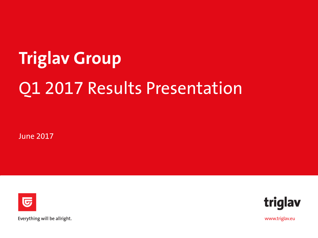# **Triglav Group** Q1 2017 Results Presentation

June 2017





Everything will be allright.

www.triglav.eu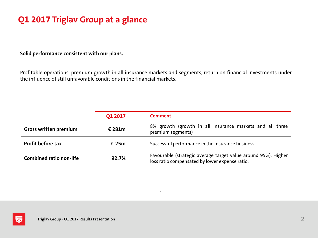## **Q1 2017 Triglav Group at a glance**

**Solid performance consistent with our plans.**

Profitable operations, premium growth in all insurance markets and segments, return on financial investments under the influence of still unfavorable conditions in the financial markets.

|                                | O1 2017   | <b>Comment</b>                                                                                                   |
|--------------------------------|-----------|------------------------------------------------------------------------------------------------------------------|
| <b>Gross written premium</b>   | € 281 $m$ | 8% growth (growth in all insurance markets and all three<br>premium segments)                                    |
| <b>Profit before tax</b>       | € 25m     | Successful performance in the insurance business                                                                 |
| <b>Combined ratio non-life</b> | 92.7%     | Favourable (strategic average target value around 95%). Higher<br>loss ratio compensated by lower expense ratio. |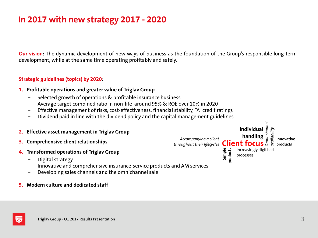## **In 2017 with new strategy 2017 - 2020**

**Our vision:** The dynamic development of new ways of business as the foundation of the Group's responsible long-term development, while at the same time operating profitably and safely.

#### **Strategic guidelines (topics) by 2020:**

- **1. Profitable operations and greater value of Triglav Group**
	- Selected growth of operations & profitable insurance business
	- − Average target combined ratio in non-life around 95% & ROE over 10% in 2020
	- − Effective management of risks, cost-effectiveness, financial stability, "A" credit ratings
	- Dividend paid in line with the dividend policy and the capital management guidelines
- **2. Effective asset management in Triglav Group**
- **3. Comprehensive client relationships**
- **4. Transformed operations of Triglav Group**
	- − Digital strategy
	- − Innovative and comprehensive insurance-service products and AM services
	- − Developing sales channels and the omnichannel sale
- **5. Modern culture and dedicated staff**

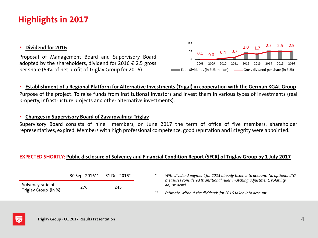## **Highlights in 2017**

#### **Dividend for 2016**

Proposal of Management Board and Supervisory Board adopted by the shareholders, dividend for 2016  $\epsilon$  2.5 gross per share (69% of net profit of Triglav Group for 2016)



#### **Establishment of a Regional Platform for Alternative Investments (Trigal) in cooperation with the German KGAL Group**

Purpose of the project: To raise funds from institutional investors and invest them in various types of investments (real property, infrastructure projects and other alternative investments).

#### **Changes in Supervisory Board of Zavarovalnica Triglav**

Supervisory Board consists of nine members, on June 2017 the term of office of five members, shareholder representatives, expired. Members with high professional competence, good reputation and integrity were appointed.

#### **EXPECTED SHORTLY: Public disclosure of Solvency and Financial Condition Report (SFCR) of Triglav Group by 1 July 2017**

|                      | 30 Sept 2016** | 31 Dec 2015* | With dividend payment for 2015 already taken into account. No optional LTG<br>measures considered (transitional rules, matching adjustment, volatility |
|----------------------|----------------|--------------|--------------------------------------------------------------------------------------------------------------------------------------------------------|
| Solvency ratio of    | 276            | 245          | adjustment)                                                                                                                                            |
| Triglav Group (in %) |                |              | Estimate, without the dividends for 2016 taken into account.                                                                                           |

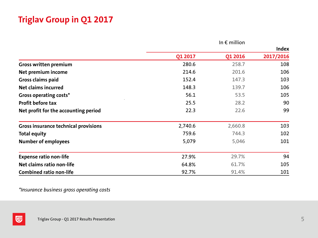## **Triglav Group in Q1 2017**

|                                             | In $\epsilon$ million |         |              |  |  |  |  |
|---------------------------------------------|-----------------------|---------|--------------|--|--|--|--|
|                                             |                       |         | <b>Index</b> |  |  |  |  |
|                                             | Q1 2017               | Q1 2016 | 2017/2016    |  |  |  |  |
| <b>Gross written premium</b>                | 280.6                 | 258.7   | 108          |  |  |  |  |
| Net premium income                          | 214.6                 | 201.6   | 106          |  |  |  |  |
| Gross claims paid                           | 152.4                 | 147.3   | 103          |  |  |  |  |
| <b>Net claims incurred</b>                  | 148.3                 | 139.7   | 106          |  |  |  |  |
| <b>Gross operating costs*</b>               | 56.1                  | 53.5    | 105          |  |  |  |  |
| Profit before tax                           | 25.5                  | 28.2    | 90           |  |  |  |  |
| Net profit for the accounting period        | 22.3                  | 22.6    | 99           |  |  |  |  |
| <b>Gross insurance technical provisions</b> | 2,740.6               | 2,660.8 | 103          |  |  |  |  |
| <b>Total equity</b>                         | 759.6                 | 744.3   | 102          |  |  |  |  |
| <b>Number of employees</b>                  | 5,079                 | 5,046   | 101          |  |  |  |  |
| <b>Expense ratio non-life</b>               | 27.9%                 | 29.7%   | 94           |  |  |  |  |
| Net claims ratio non-life                   | 64.8%                 | 61.7%   | 105          |  |  |  |  |
| <b>Combined ratio non-life</b>              | 92.7%                 | 91.4%   | 101          |  |  |  |  |

*\*Insurance business gross operating costs*

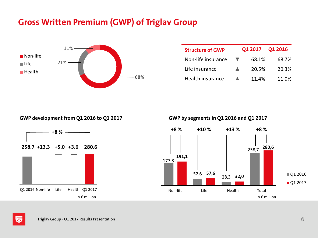## **Gross Written Premium (GWP) of Triglav Group**



| <b>Structure of GWP</b> | 01 2017 | <b>O1 2016</b>    |
|-------------------------|---------|-------------------|
| Non-life insurance      | 68.1%   | 68.7%             |
| Life insurance          | 20.5%   | 20.3%             |
| Health insurance        | 11.4%   | 11 0 <sup>%</sup> |

#### **GWP development from Q1 2016 to Q1 2017 GWP by segments in Q1 2016 and Q1 2017**





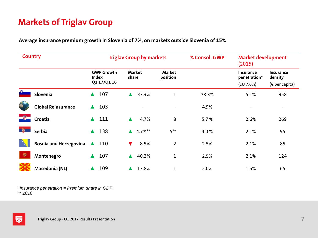## **Markets of Triglav Group**

**Average insurance premium growth in Slovenia of 7%, on markets outside Slovenia of 15%**

| <b>Country</b> |                               |                            | <b>Triglav Group by markets</b> |                           | % Consol. GWP | <b>Market development</b><br>(2015) |                             |
|----------------|-------------------------------|----------------------------|---------------------------------|---------------------------|---------------|-------------------------------------|-----------------------------|
|                |                               | <b>GWP Growth</b><br>Index | <b>Market</b><br>share          | <b>Market</b><br>position |               | <b>Insurance</b><br>penetration*    | <b>Insurance</b><br>density |
|                |                               | Q1 17/Q1 16                |                                 |                           |               | (EU 7.6%)                           | ( $\epsilon$ per capita)    |
|                | Slovenia                      | 107<br>$\blacktriangle$    | 37.3%<br>$\blacktriangle$       | $\mathbf{1}$              | 78.3%         | 5.1%                                | 958                         |
|                | <b>Global Reinsurance</b>     | 103<br>$\blacktriangle$    |                                 |                           | 4.9%          |                                     |                             |
| 一份             | Croatia                       | 111<br>$\blacktriangle$    | 4.7%<br>$\blacktriangle$        | 8                         | 5.7%          | 2.6%                                | 269                         |
| 爵              | <b>Serbia</b>                 | 138<br>$\blacktriangle$    | $4.7%^{**}$<br>$\blacktriangle$ | $5***$                    | 4.0%          | 2.1%                                | 95                          |
|                | <b>Bosnia and Herzegovina</b> | 110                        | 8.5%<br>V                       | $\overline{2}$            | 2.5%          | 2.1%                                | 85                          |
| 说              | Montenegro                    | 107                        | 40.2%<br>$\blacktriangle$       | $\mathbf{1}$              | 2.5%          | 2.1%                                | 124                         |
|                | Macedonia (NL)                | 109                        | 17.8%                           | $\mathbf{1}$              | 2.0%          | 1.5%                                | 65                          |

*\*Insurance penetration = Premium share in GDP \*\* 2016*

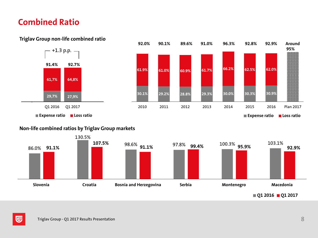#### **Combined Ratio**



#### **Triglav Group non-life combined ratio**





**Q1 2016 Q1 2017**

**95%** 



匠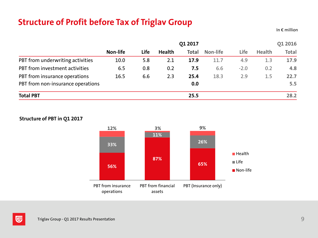## **Structure of Profit before Tax of Triglav Group**

In  $\epsilon$  million

|                                   | 01 2017  |      |               |              |          |        |               | 01 2016      |
|-----------------------------------|----------|------|---------------|--------------|----------|--------|---------------|--------------|
|                                   | Non-life | Life | <b>Health</b> | <b>Total</b> | Non-life | Life   | <b>Health</b> | <b>Total</b> |
| PBT from underwriting activities  | 10.0     | 5.8  | 2.1           | 17.9         | 11.7     | 4.9    | 1.3           | 17.9         |
| PBT from investment activities    | 6.5      | 0.8  | 0.2           | 7.5          | 6.6      | $-2.0$ | 0.2           | 4.8          |
| PBT from insurance operations     | 16.5     | 6.6  | 2.3           | 25.4         | 18.3     | 2.9    | 1.5           | 22.7         |
| PBT from non-insurance operations |          |      |               | 0.0          |          |        |               | 5.5          |
| <b>Total PBT</b>                  |          |      |               | 25.5         |          |        |               | 28.2         |

#### **Structure of PBT in Q1 2017**

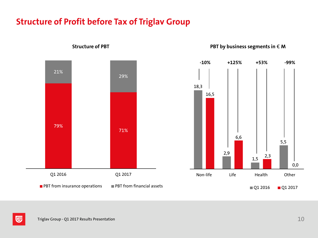#### **Structure of Profit before Tax of Triglav Group**



**Structure** of PBT **PBT PBT** *of* **PBT** *of PBT of PBT of of m of m s m o n o n o n o n o n i n o n i n o n i n i n* 



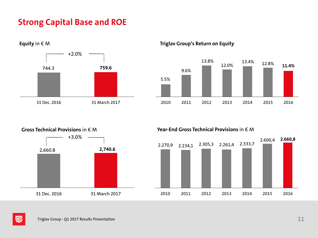## **Strong Capital Base and ROE**



**Equity** in € M **Triglav Group's Return on Equity**



## +3.0% 2,660.8 **2,740.6** 31 Dec. 2016 31 March 2017

**Gross Technical Provisions** in € M **Year-End Gross Technical Provisions** in € M



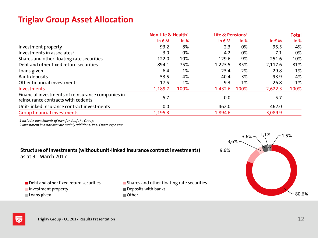## **Triglav Group Asset Allocation**

|                                                                                         | Non-life & Health <sup>1</sup> |      |                 | Life & Pensions <sup>1</sup> |                 | <b>Total</b> |
|-----------------------------------------------------------------------------------------|--------------------------------|------|-----------------|------------------------------|-----------------|--------------|
|                                                                                         | In $\epsilon$ M                | ln % | In $\epsilon$ M | ln %                         | In $\epsilon$ M | ln %         |
| Investment property                                                                     | 93.2                           | 8%   | 2.3             | 0%                           | 95.5            | 4%           |
| Investments in associates <sup>2</sup>                                                  | 3.0                            | 0%   | 4.2             | 0%                           | 7.1             | 0%           |
| Shares and other floating rate securities                                               | 122.0                          | 10%  | 129.6           | 9%                           | 251.6           | 10%          |
| Debt and other fixed return securities                                                  | 894.1                          | 75%  | 1,223.5         | 85%                          | 2,117.6         | 81%          |
| Loans given                                                                             | 6.4                            | 1%   | 23.4            | 2%                           | 29.8            | 1%           |
| <b>Bank deposits</b>                                                                    | 53.5                           | 4%   | 40.4            | 3%                           | 93.9            | 4%           |
| Other financial investments                                                             | 17.5                           | 1%   | 9.3             | 1%                           | 26.8            | 1%           |
| Investments                                                                             | 1,189.7                        | 100% | 1,432.6         | 100%                         | 2,622.3         | 100%         |
| Financial investments of reinsurance companies in<br>reinsurance contracts with cedents | 5.7                            |      | 0.0             |                              | 5.7             |              |
| Unit-linked insurance contract investments                                              | 0.0                            |      | 462.0           |                              | 462.0           |              |
| <b>Group financial investments</b>                                                      | 1,195.3                        |      | 1,894.6         |                              | 3,089.9         |              |

*1 Includes investments of own funds of the Group.*

*2 Investment in associates are mainly additional Real Estate exposure.*

**Structure of investments (without unit-linked insurance contract investments)** as at 31 March 2017

- 
- Debt and other fixed return securities Shares and other floating rate securities
- Investment property Deposits with banks
- Loans given **Communist Communist Communist Communist Communist Communist Communist Communist Communist Communist Communist Communist Communist Communist Communist Communist Communist Communist Communist Communist Communist**



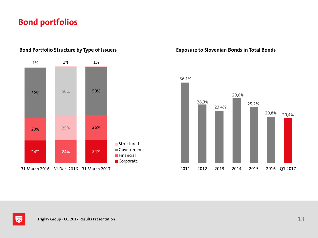#### **Bond portfolios**



**Bond Portfolio Structure by Type of Issuers Exposure to Slovenian Bonds in Total Bonds**



31 March 2016 31 Dec. 2016 31 March 2017

匠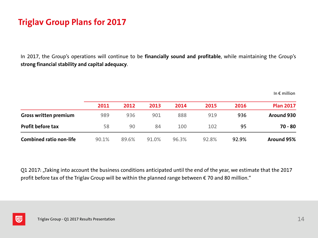## **Triglav Group Plans for 2017**

In 2017, the Group's operations will continue to be **financially sound and profitable**, while maintaining the Group's **strong financial stability and capital adequacy**.

|                                | 2011  | 2012  | 2013  | 2014  | 2015  | 2016  | <b>Plan 2017</b> |
|--------------------------------|-------|-------|-------|-------|-------|-------|------------------|
| <b>Gross written premium</b>   | 989   | 936   | 901   | 888   | 919   | 936   | Around 930       |
| <b>Profit before tax</b>       | 58    | 90    | 84    | 100   | 102   | 95    | $70 - 80$        |
| <b>Combined ratio non-life</b> | 90.1% | 89.6% | 91.0% | 96.3% | 92.8% | 92.9% | Around 95%       |

Q1 2017: "Taking into account the business conditions anticipated until the end of the year, we estimate that the 2017 profit before tax of the Triglav Group will be within the planned range between € 70 and 80 million."



In  $\epsilon$  million